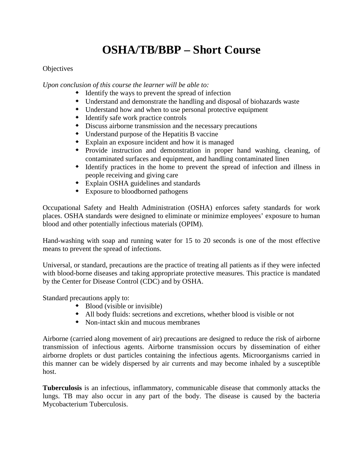## **OSHA/TB/BBP – Short Course**

## **Objectives**

*Upon conclusion of this course the learner will be able to:*

- Identify the ways to prevent the spread of infection
- Understand and demonstrate the handling and disposal of biohazards waste
- Understand how and when to use personal protective equipment
- $\triangle$  Identify safe work practice controls
- Discuss airborne transmission and the necessary precautions
- Understand purpose of the Hepatitis B vaccine
- Explain an exposure incident and how it is managed
- Provide instruction and demonstration in proper hand washing, cleaning, of contaminated surfaces and equipment, and handling contaminated linen
- Identify practices in the home to prevent the spread of infection and illness in people receiving and giving care
- Explain OSHA guidelines and standards
- Exposure to bloodborned pathogens

Occupational Safety and Health Administration (OSHA) enforces safety standards for work places. OSHA standards were designed to eliminate or minimize employees' exposure to human blood and other potentially infectious materials (OPIM).

Hand-washing with soap and running water for 15 to 20 seconds is one of the most effective means to prevent the spread of infections.

Universal, or standard, precautions are the practice of treating all patients as if they were infected with blood-borne diseases and taking appropriate protective measures. This practice is mandated by the Center for Disease Control (CDC) and by OSHA.

Standard precautions apply to:

- $\triangleq$  Blood (visible or invisible)
- All body fluids: secretions and excretions, whether blood is visible or not
- Non-intact skin and mucous membranes

Airborne (carried along movement of air) precautions are designed to reduce the risk of airborne transmission of infectious agents. Airborne transmission occurs by dissemination of either airborne droplets or dust particles containing the infectious agents. Microorganisms carried in this manner can be widely dispersed by air currents and may become inhaled by a susceptible host.

**Tuberculosis** is an infectious, inflammatory, communicable disease that commonly attacks the lungs. TB may also occur in any part of the body. The disease is caused by the bacteria Mycobacterium Tuberculosis.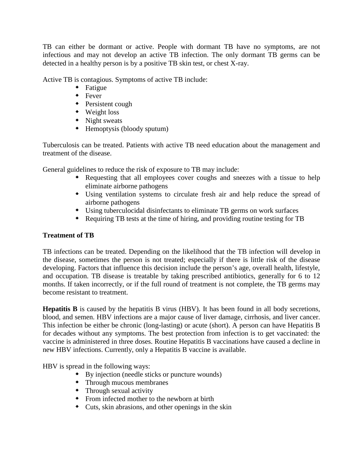TB can either be dormant or active. People with dormant TB have no symptoms, are not infectious and may not develop an active TB infection. The only dormant TB germs can be detected in a healthy person is by a positive TB skin test, or chest X-ray.

Active TB is contagious. Symptoms of active TB include:

- **+** Fatigue
- **\*** Fever
- Persistent cough
- Weight loss
- $\triangle$  Night sweats
- Hemoptysis (bloody sputum)

Tuberculosis can be treated. Patients with active TB need education about the management and treatment of the disease.

General guidelines to reduce the risk of exposure to TB may include:

- Requesting that all employees cover coughs and sneezes with a tissue to help eliminate airborne pathogens
- Using ventilation systems to circulate fresh air and help reduce the spread of airborne pathogens
- Using tuberculocidal disinfectants to eliminate TB germs on work surfaces
- Requiring TB tests at the time of hiring, and providing routine testing for TB

## **Treatment of TB**

TB infections can be treated. Depending on the likelihood that the TB infection will develop in the disease, sometimes the person is not treated; especially if there is little risk of the disease developing. Factors that influence this decision include the person's age, overall health, lifestyle, and occupation. TB disease is treatable by taking prescribed antibiotics, generally for 6 to 12 months. If taken incorrectly, or if the full round of treatment is not complete, the TB germs may become resistant to treatment.

**Hepatitis B** is caused by the hepatitis B virus (HBV). It has been found in all body secretions, blood, and semen. HBV infections are a major cause of liver damage, cirrhosis, and liver cancer. This infection be either be chronic (long-lasting) or acute (short). A person can have Hepatitis B for decades without any symptoms. The best protection from infection is to get vaccinated: the vaccine is administered in three doses. Routine Hepatitis B vaccinations have caused a decline in new HBV infections. Currently, only a Hepatitis B vaccine is available.

HBV is spread in the following ways:

- By injection (needle sticks or puncture wounds)
- Through mucous membranes
- Through sexual activity
- From infected mother to the newborn at birth
- Cuts, skin abrasions, and other openings in the skin